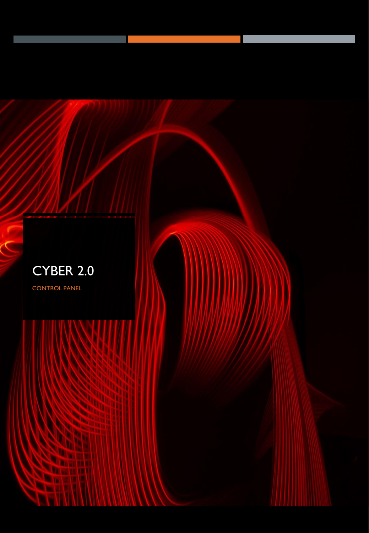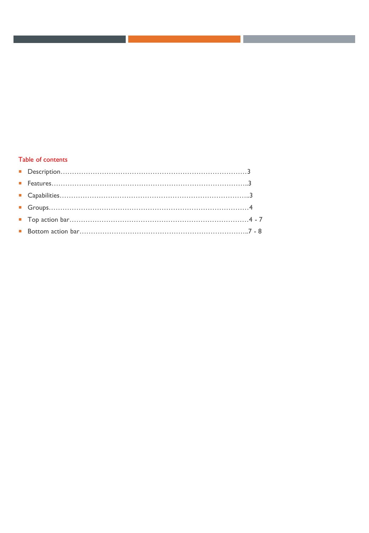## Table of contents

.

and the control of the control of the control of

and the state of the state of the state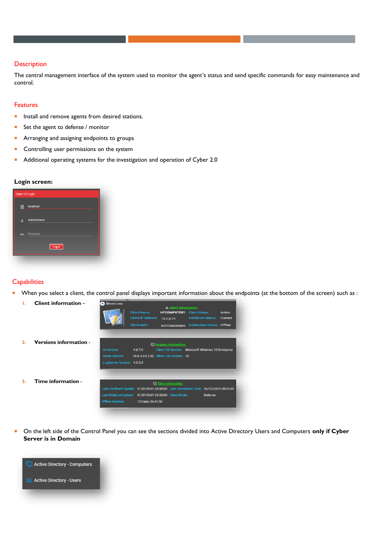#### **Description**

The central management interface of the system used to monitor the agent's status and send specific commands for easy maintenance and control.

#### Features

- **Install and remove agents from desired stations.**
- Set the agent to defense / monitor
- **Arranging and assigning endpoints to groups**
- **Controlling user permissions on the system**
- Additional operating systems for the investigation and operation of Cyber 2.0

#### **Login screen:**

| Cyber 2.0 Login |               |  |
|-----------------|---------------|--|
| 畺               | localhost     |  |
|                 | Administrator |  |
| $\sim$          | Password      |  |
|                 | Login         |  |
|                 |               |  |

#### **Capabilities**

When you select a client, the control panel displays important information about the endpoints (at the bottom of the screen) such as :



 On the left side of the Control Panel you can see the sections divided into Active Directory Users and Computers **only if Cyber Server is in Domain**

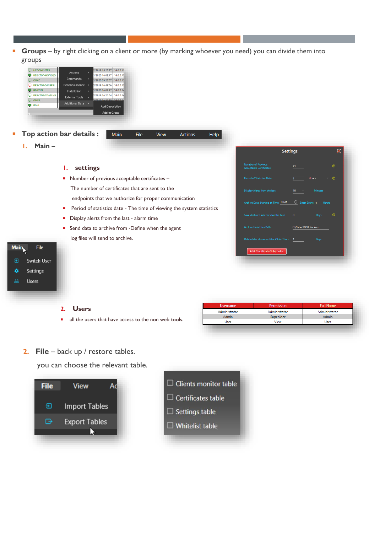**Groups** – by right clicking on a client or more (by marking whoever you need) you can divide them into groups



**2. File** – back up / restore tables.

you can choose the relevant table.





User

View

User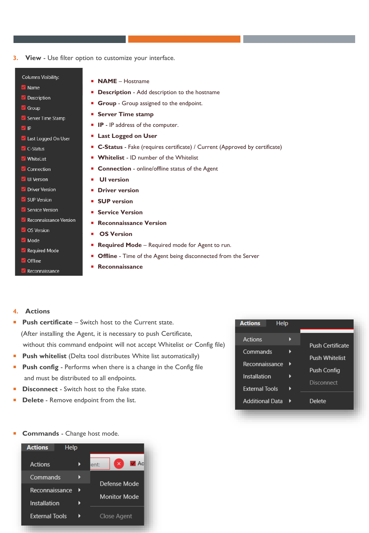**3. View** - Use filter option to customize your interface.

### **Columns Visibility:**

- M Name
- Description
- Group
- Server Time Stamp
- $\blacksquare$  IP
- I Last Logged On User
- $\blacksquare$  C-Status
- V WhiteList
- Connection
- V UI Version
- Driver Version
- SUP Version
- Service Version
- Reconnaissance Version **S** OS Version
- Mode
- Required Mode
- Offline
- Reconnaissance
- **NAME** Hostname
- **Description** Add description to the hostname
- **Group** Group assigned to the endpoint.
- **Server Time stamp**
- **IP** IP address of the computer.
- **Last Logged on User**
- **C-Status** Fake (requires certificate) / Current (Approved by certificate)
- **Whitelist** ID number of the Whitelist
- **Connection** online/offline status of the Agent
- **UI version**
- **Driver version**
- **SUP version**
- **Service Version**
- **Reconnaissance Version**
- **OS Version**
- **Required Mode** Required mode for Agent to run.
- **Offline** Time of the Agent being disconnected from the Server
- **Reconnaissance**

# **4. Actions**

- **Push certificate**  Switch host to the Current state. (After installing the Agent, it is necessary to push Certificate, without this command endpoint will not accept Whitelist or Config file)
- **Push whitelist** (Delta tool distributes White list automatically)
- **Push config** Performs when there is a change in the Config file and must be distributed to all endpoints.
- **Disconnect** Switch host to the Fake state.
- **Delete** Remove endpoint from the list.

| <b>Actions</b><br>Help |                         |
|------------------------|-------------------------|
| Actions                |                         |
| Commands               | <b>Push Certificate</b> |
| Reconnaissance         | <b>Push Whitelist</b>   |
|                        | Push Config             |
| Installation           | Disconnect              |
| <b>External Tools</b>  |                         |
| <b>Additional Data</b> | Delete                  |
|                        |                         |

**Commands** - Change host mode.

| <b>Actions</b><br>Help |                                |
|------------------------|--------------------------------|
| Actions                | $\blacksquare$ Ac<br>×<br>ent: |
| Commands               | Defense Mode                   |
| Reconnaissance         | <b>Monitor Mode</b>            |
| Installation           |                                |
| <b>External Tools</b>  | Close Agent                    |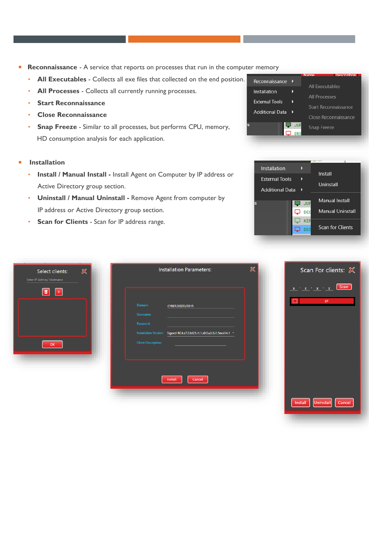- **Reconnaissance**  A service that reports on processes that run in the computer memory
	- **All Executables**  Collects all exe files that collected on the end position.
	- **All Processes**  Collects all currently running processes.
	- **Start Reconnaissance**
	- **Close Reconnaissance**
	- **Snap Freeze** Similar to all processes, but performs CPU, memory, HD consumption analysis for each application.
- **Installation** 
	- **Install / Manual Install -** Install Agent on Computer by IP address or Active Directory group section.
	- **Uninstall / Manual Uninstall -** Remove Agent from computer by IP address or Active Directory group section.
	- **Scan for Clients**  Scan for IP address range.





| $\mathbb{X}$<br>Select clients:<br>Enter IP Adress/ Hostname | $\mathbb X$<br><b>Installation Parameters:</b>                                                                                                                 | Scan For clients: &                                                                                             |
|--------------------------------------------------------------|----------------------------------------------------------------------------------------------------------------------------------------------------------------|-----------------------------------------------------------------------------------------------------------------|
| 同<br>$ + $<br>OK                                             | Domain:<br>CYBER20SERVER15<br>Username:<br>Password:<br>Installation Version: Signed-RC4.a7.0.ls0.5.r1.1.s0.0.u3.6.i1.5msi14.1 *<br><b>Client Description:</b> | Scan<br>$\mathbf{x} \rightarrow \mathbf{x} \rightarrow \mathbf{x} \rightarrow \mathbf{y}$<br>$\mathbf{x}$<br>IP |
|                                                              | Install<br>Cancel                                                                                                                                              | Install<br><b>Uninstal</b><br>Cancel                                                                            |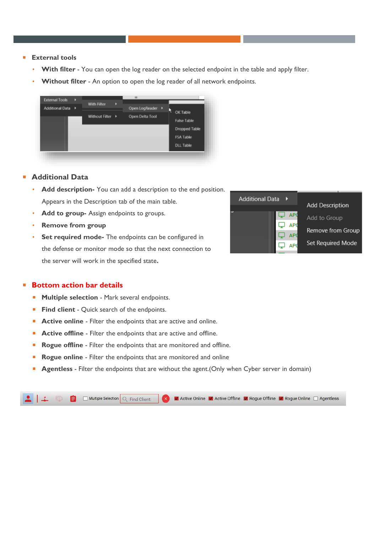- **External tools** 
	- **With filter**  You can open the log reader on the selected endpoint in the table and apply filter.
	- Without filter An option to open the log reader of all network endpoints.



## **Additional Data**

- **Add description-** You can add a description to the end position. Appears in the Description tab of the main table.
- Add to group- Assign endpoints to groups.
- **Remove from group**
- **Set required mode-** The endpoints can be configured in the defense or monitor mode so that the next connection to the server will work in the specified state**.**



### **Bottom action bar details**

- **Multiple selection Mark several endpoints.**
- **Find client**  Quick search of the endpoints.
- **Active online** Filter the endpoints that are active and online.
- **Active offline** Filter the endpoints that are active and offline.
- **Rogue offline** Filter the endpoints that are monitored and offline.
- **Rogue online**  Filter the endpoints that are monitored and online
- **Agentless**  Filter the endpoints that are without the agent.(Only when Cyber server in domain)